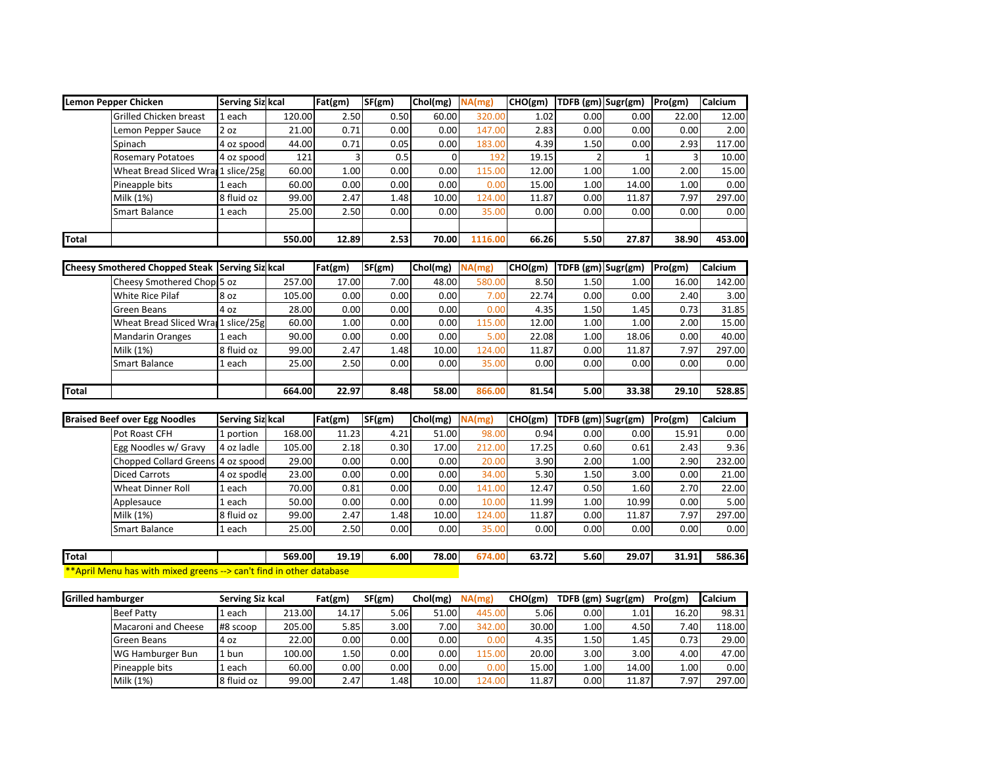|              | Lemon Pepper Chicken                | <b>Serving Siz kcal</b> |        | Fat(gm) | SF(gm) | Chol(mg) | NA(mg)  | CHO(gm) | $TDFB (gm)$ Sugr(gm) |       | Pro(gm) | Calcium |
|--------------|-------------------------------------|-------------------------|--------|---------|--------|----------|---------|---------|----------------------|-------|---------|---------|
|              | Grilled Chicken breast              | 1 each                  | 120.00 | 2.50    | 0.50   | 60.00    | 320.00  | 1.02    | 0.00                 | 0.00  | 22.00   | 12.00   |
|              | Lemon Pepper Sauce                  | 2 oz                    | 21.00  | 0.71    | 0.00   | 0.00     | 147.00  | 2.83    | 0.00                 | 0.00  | 0.00    | 2.00    |
|              | Spinach                             | 4 oz spood              | 44.00  | 0.71    | 0.05   | 0.00     | 183.00  | 4.39    | 1.50                 | 0.00  | 2.93    | 117.00  |
|              | <b>Rosemary Potatoes</b>            | 4 oz spood              | 121    |         | 0.5    |          | 192     | 19.15   |                      |       |         | 10.00   |
|              | Wheat Bread Sliced Wran 1 slice/25g |                         | 60.00  | 1.00    | 0.00   | 0.00     | 115.00  | 12.00   | 1.00                 | 1.00  | 2.00    | 15.00   |
|              | Pineapple bits                      | 1 each                  | 60.00  | 0.00    | 0.00   | 0.00     | 0.00    | 15.00   | 1.00                 | 14.00 | 1.00    | 0.00    |
|              | Milk (1%)                           | 8 fluid oz              | 99.00  | 2.47    | 1.48   | 10.00    | 124.00  | 11.87   | 0.00                 | 11.87 | 7.97    | 297.00  |
|              | Smart Balance                       | 1 each                  | 25.00  | 2.50    | 0.00   | 0.00     | 35.00   | 0.00    | 0.00                 | 0.00  | 0.00    | 0.00    |
|              |                                     |                         |        |         |        |          |         |         |                      |       |         |         |
| <b>Total</b> |                                     |                         | 550.00 | 12.89   | 2.53   | 70.00    | 1116.00 | 66.26   | 5.50                 | 27.87 | 38.90   | 453.00  |

|              | Cheesy Smothered Chopped Steak Serving Siz kcal |            |        | Fat(gm) | SF(gm) | Chol(mg) | NA(mg) | CHO(gm) | <b>TDFB</b> (gm) Sugr(gm) |                   | Pro(gm) | <b>Calcium</b> |
|--------------|-------------------------------------------------|------------|--------|---------|--------|----------|--------|---------|---------------------------|-------------------|---------|----------------|
|              | Cheesy Smothered Chop 5 oz                      |            | 257.00 | 17.00   | 7.00   | 48.00    | 580.00 | 8.50    | 1.50                      | 1.00              | 16.00   | 142.00         |
|              | <b>White Rice Pilaf</b>                         | 8 oz       | 105.00 | 0.00    | 0.00   | 0.00     | 7.00   | 22.74   | 0.00                      | 0.00 <sub>1</sub> | 2.40    | 3.00           |
|              | Green Beans                                     | 4 oz       | 28.00  | 0.00    | 0.00   | 0.00     | 0.00   | 4.35    | 1.50                      | 1.45              | 0.73    | 31.85          |
|              | Wheat Bread Sliced Wran 1 slice/25g             |            | 60.00  | 1.00    | 0.00   | 0.00     | 115.00 | 12.00   | 1.00                      | 1.00              | 2.00    | 15.00          |
|              | <b>Mandarin Oranges</b>                         | 1 each     | 90.00  | 0.00    | 0.00   | 0.00     | 5.00   | 22.08   | 1.00                      | 18.06             | 0.00    | 40.00          |
|              | Milk (1%)                                       | 8 fluid oz | 99.00  | 2.47    | 1.48   | 10.00    | 124.00 | 11.87   | 0.00                      | 11.87             | 7.97    | 297.00         |
|              | <b>Smart Balance</b>                            | 1 each     | 25.00  | 2.50    | 0.00   | 0.00     | 35.00  | 0.00    | 0.00                      | 0.00              | 0.00    | 0.00           |
|              |                                                 |            |        |         |        |          |        |         |                           |                   |         |                |
| <b>Total</b> |                                                 |            | 664.00 | 22.97   | 8.48   | 58.00    | 866.00 | 81.54   | 5.00                      | 33.38             | 29.10   | 528.85         |

| <b>Braised Beef over Egg Noodles</b> | <b>Serving Siz kcal</b> |        | Fat(gm) | SF(gm) | Chol(mg) | NA(mg) | CHO(gm) | TDFB (gm) Sugr(gm) |       | Pro(gm) | <b>Calcium</b> |
|--------------------------------------|-------------------------|--------|---------|--------|----------|--------|---------|--------------------|-------|---------|----------------|
| Pot Roast CFH                        | 1 portion               | 168.00 | 11.23   | 4.21   | 51.00    | 98.00  | 0.94    | 0.00               | 0.00  | 15.91   | 0.00           |
| Egg Noodles w/ Gravy                 | 4 oz ladle              | 105.00 | 2.18    | 0.30   | 17.00    | 212.00 | 17.25   | 0.60               | 0.61  | 2.43    | 9.36           |
| Chopped Collard Greens 4 oz spood    |                         | 29.00  | 0.00    | 0.00   | 0.00     | 20.00  | 3.90    | 2.00               | 1.00  | 2.90    | 232.00         |
| <b>Diced Carrots</b>                 | 4 oz spodle             | 23.00  | 0.00    | 0.00   | 0.00     | 34.00  | 5.30    | 1.50               | 3.00  | 0.00    | 21.00          |
| <b>Wheat Dinner Roll</b>             | 1 each                  | 70.00  | 0.81    | 0.00   | 0.00     | 141.00 | 12.47   | 0.50               | 1.60  | 2.70    | 22.00          |
| Applesauce                           | 1 each                  | 50.00  | 0.00    | 0.00   | 0.00     | 10.00  | 11.99   | 1.00               | 10.99 | 0.00    | 5.00           |
| Milk (1%)                            | 8 fluid oz              | 99.00  | 2.47    | 1.48   | 10.00    | 124.00 | 11.87   | 0.00               | 11.87 | 7.97    | 297.00         |
| Smart Balance                        | 1 each                  | 25.00  | 2.50    | 0.00   | 0.00     | 35.00  | 0.00    | 0.00               | 0.00  | 0.00    | 0.00           |
|                                      |                         |        |         |        |          |        |         |                    |       |         |                |

| <b>Total</b> |                                                 | 569.00                                 | 19.19<br>___ | 6.00 | 78.00 | 674.00 | 63.72<br>$ -$ | 5.60 | 29.07 | 31.91<br>- - | 586.36 |
|--------------|-------------------------------------------------|----------------------------------------|--------------|------|-------|--------|---------------|------|-------|--------------|--------|
| **Apri       | Menu has with<br><del>c --</del> mixed greens ו | <b>Exam't find in other database</b> b |              |      |       |        |               |      |       |              |        |

| <b>Grilled hamburger</b> |                     | Serving Siz kcal |        | Fat(gm) | SF(gm) | Chol(mg) | NA(mg) | CHO(gm) | TDFB (gm) Sugr(gm) |       | Pro(gm) | <b>Calcium</b> |
|--------------------------|---------------------|------------------|--------|---------|--------|----------|--------|---------|--------------------|-------|---------|----------------|
|                          | <b>Beef Patty</b>   | . each           | 213.00 | 14.17   | 5.06   | 51.00    | 445.00 | 5.06    | 0.00               | 1.01  | 16.20   | 98.31          |
|                          | Macaroni and Cheese | #8 scoop         | 205.00 | 5.85    | 3.00   | 7.00     | 342.00 | 30.00   | 1.00               | 4.50  | 7.40    | 118.00         |
|                          | Green Beans         | 4 oz             | 22.00  | 0.00    | 0.00   | 0.00     | 0.00   | 4.35    | 1.50               | 1.45  | 0.73    | 29.00          |
|                          | WG Hamburger Bun    | . bun            | 100.00 | 1.50    | 0.00   | 0.00     | 115.00 | 20.00   | 3.00               | 3.00  | 4.00    | 47.00          |
|                          | Pineapple bits      | each             | 60.00  | 0.00    | 0.00   | 0.00     | 0.00   | 15.00   | 1.00               | 14.00 | 1.00    | 0.00           |
|                          | Milk (1%)           | 8 fluid oz       | 99.00  | 2.47    | 1.48.  | 10.00    | 124.00 | 11.87   | 0.00               | 11.87 | 7.97    | 297.00         |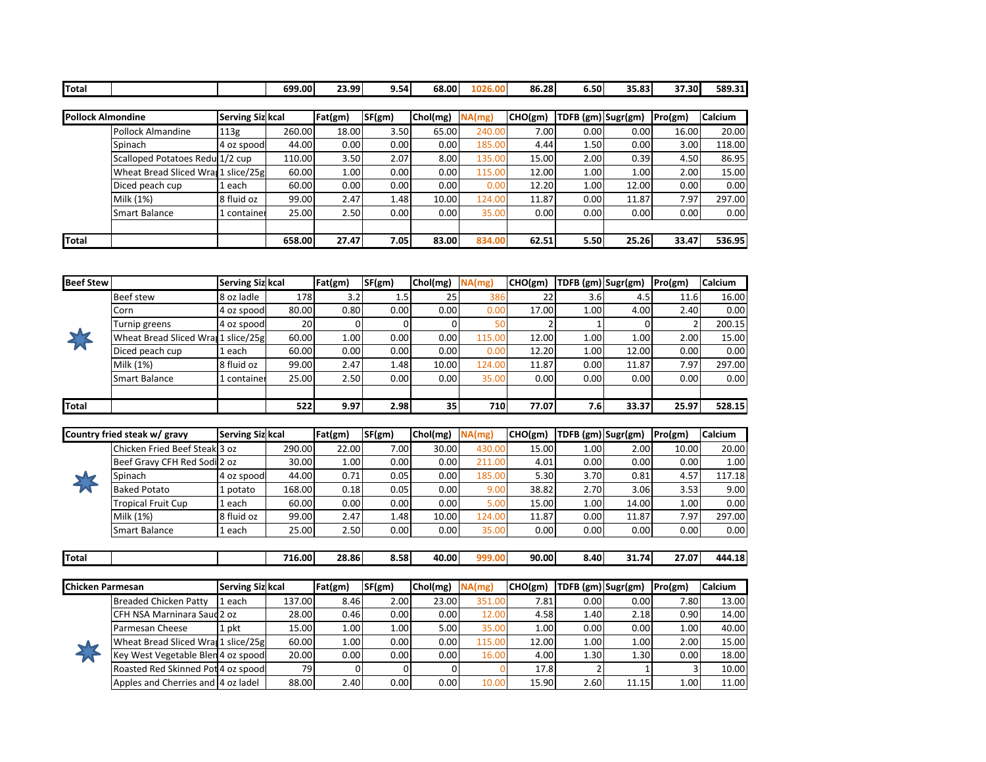| Total |                                     |                         | 699.00 | 23.99   | 9.54   | 68.00    | 1026.00 | 86.28   | 6.50               | 35.83 | 37.30   | 589.31         |
|-------|-------------------------------------|-------------------------|--------|---------|--------|----------|---------|---------|--------------------|-------|---------|----------------|
|       |                                     |                         |        |         |        |          |         |         |                    |       |         |                |
|       | <b>Pollock Almondine</b>            | <b>Serving Siz kcal</b> |        | Fat(gm) | SF(gm) | Chol(mg) | NA(mg)  | CHO(gm) | TDFB (gm) Sugr(gm) |       | Pro(gm) | <b>Calcium</b> |
|       | Pollock Almandine                   | 113g                    | 260.00 | 18.00   | 3.50   | 65.00    | 240.00  | 7.00    | 0.00               | 0.00  | 16.00   | 20.00          |
|       | Spinach                             | 4 oz spood              | 44.00  | 0.00    | 0.00   | 0.00     | 185.00  | 4.44    | 1.50               | 0.00  | 3.00    | 118.00         |
|       | Scalloped Potatoes Redu 1/2 cup     |                         | 110.00 | 3.50    | 2.07   | 8.00     | 135.00  | 15.00   | 2.00               | 0.39  | 4.50    | 86.95          |
|       | Wheat Bread Sliced Wran 1 slice/25g |                         | 60.00  | 1.00    | 0.00   | 0.00     | 115.00  | 12.00   | 1.00               | 1.00  | 2.00    | 15.00          |
|       | Diced peach cup                     | l each                  | 60.00  | 0.00    | 0.00   | 0.00     | 0.00    | 12.20   | 1.00               | 12.00 | 0.00    | 0.00           |
|       | Milk (1%)                           | 8 fluid oz              | 99.00  | 2.47    | 1.48   | 10.00    | 124.00  | 11.87   | 0.00               | 11.87 | 7.97    | 297.00         |
|       | <b>Smart Balance</b>                | l container             | 25.00  | 2.50    | 0.00   | 0.00     | 35.00   | 0.00    | 0.00               | 0.00  | 0.00    | 0.00           |
|       |                                     |                         |        |         |        |          |         |         |                    |       |         |                |
| Total |                                     |                         | 658.00 | 27.47   | 7.05   | 83.00    | 834.00  | 62.51   | 5.50               | 25.26 | 33.47   | 536.95         |

| <b>Beef Stew</b> |                                     | Serving Siz kcal |           | Fat(gm) | SF(gm)           | Chol(mg) | NA(mg) | CHO(gm) | <b>TDFB</b> (gm) Sugr(gm) |       | Pro(gm) | <b>Calcium</b> |
|------------------|-------------------------------------|------------------|-----------|---------|------------------|----------|--------|---------|---------------------------|-------|---------|----------------|
|                  | <b>Beef stew</b>                    | 8 oz ladle       | 178       | 3.2     | 1.5 <sup>1</sup> | 25       | 386    | 22      | 3.6                       | 4.5   | 11.6    | 16.00          |
|                  | Corn                                | 4 oz spood       | 80.00     | 0.80    | 0.00             | 0.00     | 0.00   | 17.00   | 1.00                      | 4.00  | 2.40    | 0.00           |
|                  | Turnip greens                       | 4 oz spoodl      | <b>20</b> |         |                  |          |        |         |                           |       |         | 200.15         |
|                  | Wheat Bread Sliced Wran 1 slice/25g |                  | 60.00     | 1.00    | 0.00             | 0.00     | 115.00 | 12.00   | 1.00                      | 1.00  | 2.00    | 15.00          |
|                  | Diced peach cup                     | 1 each           | 60.00     | 0.00    | 0.00             | 0.00     | 0.00   | 12.20   | 1.00                      | 12.00 | 0.00    | 0.00           |
|                  | Milk (1%)                           | 8 fluid oz       | 99.00     | 2.47    | 1.48             | 10.00    | 124.00 | 11.87   | 0.00                      | 11.87 | 7.97    | 297.00         |
|                  | <b>Smart Balance</b>                | 1 container      | 25.00     | 2.50    | 0.00             | 0.00     | 35.00  | 0.00    | 0.00                      | 0.00  | 0.00    | 0.00           |
|                  |                                     |                  |           |         |                  |          |        |         |                           |       |         |                |
| Total            |                                     |                  | 522       | 9.97    | 2.98             | 35       | 710    | 77.07   | 7.6                       | 33.37 | 25.97   | 528.15         |

| Country fried steak w/ gravy  | <b>Serving Siz kcal</b> |        | Fat(gm) | SF(gm) | Chol(mg) | NA(mg) | CHO(gm) | TDFB (gm) Sugr(gm) |       | Pro(gm) | <b>Calcium</b> |
|-------------------------------|-------------------------|--------|---------|--------|----------|--------|---------|--------------------|-------|---------|----------------|
| Chicken Fried Beef Steak 3 oz |                         | 290.00 | 22.00   | 7.00   | 30.00    | 430.00 | 15.00   | 1.00               | 2.00  | 10.00   | 20.00          |
| Beef Gravy CFH Red Sodi 2 oz  |                         | 30.00  | 1.00    | 0.00   | 0.00     | 211.00 | 4.01    | 0.00               | 0.00  | 0.00    | 1.00           |
| Spinach                       | 4 oz spoodl             | 44.00  | 0.71    | 0.05   | 0.00     | 185.00 | 5.30    | 3.70               | 0.81  | 4.57    | 117.18         |
| <b>Baked Potato</b>           | 1 potato                | 168.00 | 0.18    | 0.05   | 0.00     | 9.00   | 38.82   | 2.70               | 3.06  | 3.53    | 9.00           |
| <b>Tropical Fruit Cup</b>     | 1 each                  | 60.00  | 0.00    | 0.00   | 0.00     | 5.00   | 15.00   | 1.00               | 14.00 | 1.00    | 0.00           |
| Milk (1%)                     | 8 fluid oz              | 99.00  | 2.47    | 1.48   | 10.00    | 124.00 | 11.87   | 0.00               | 11.87 | 7.97    | 297.00         |
| Smart Balance                 | 1 each                  | 25.00  | 2.50    | 0.00   | 0.00     | 35.00  | 0.00    | 0.00               | 0.00  | 0.00    | 0.00           |

| Total | 716.00 | 28.86 | 8.58 | 40.00 | 90.00 | 8.40 | 31.74 | 7.07 ہے | $+44.1^{\circ}$ |
|-------|--------|-------|------|-------|-------|------|-------|---------|-----------------|

| <b>Chicken Parmesan</b> |                                     | <b>Serving Siz kcal</b> |        | Fat(gm) | SF(gm) | Chol(mg) | NA(mg) | CHO(gm) | TDFB (gm) Sugr(gm) |       | Pro(gm) | <b>Calcium</b> |
|-------------------------|-------------------------------------|-------------------------|--------|---------|--------|----------|--------|---------|--------------------|-------|---------|----------------|
|                         | Breaded Chicken Patty               | 1 each                  | 137.00 | 8.46    | 2.00   | 23.00    | 351.00 | 7.81    | 0.00               | 0.00  | 7.80    | 13.00          |
|                         | <b>CFH NSA Marninara Saud 2 oz</b>  |                         | 28.00  | 0.46    | 0.00   | 0.00     | 12.00  | 4.58    | 1.40               | 2.18  | 0.90    | 14.00          |
|                         | Parmesan Cheese                     | 1 pkt                   | 15.00  | 1.00    | 1.00   | 5.00     | 35.00  | 1.00    | 0.00               | 0.00  | 1.00    | 40.00          |
| J                       | Wheat Bread Sliced Wran 1 slice/25g |                         | 60.00  | 1.00    | 0.00   | 0.00     | 115.00 | 12.00   | 1.00               | 1.00  | 2.00    | 15.00          |
|                         | Key West Vegetable Blen 4 oz spoodl |                         | 20.00  | 0.00    | 0.00   | 0.00     | 16.00  | 4.00    | 1.30               | 1.30  | 0.00    | 18.00          |
|                         | Roasted Red Skinned Pot 4 oz spood  |                         | 79     |         |        |          |        | 17.8    |                    |       |         | 10.00          |
|                         | Apples and Cherries and 4 oz ladel  |                         | 88.00  | 2.40    | 0.00   | 0.00     | 10.00  | 15.90   | 2.60               | 11.15 | 1.00    | 11.00          |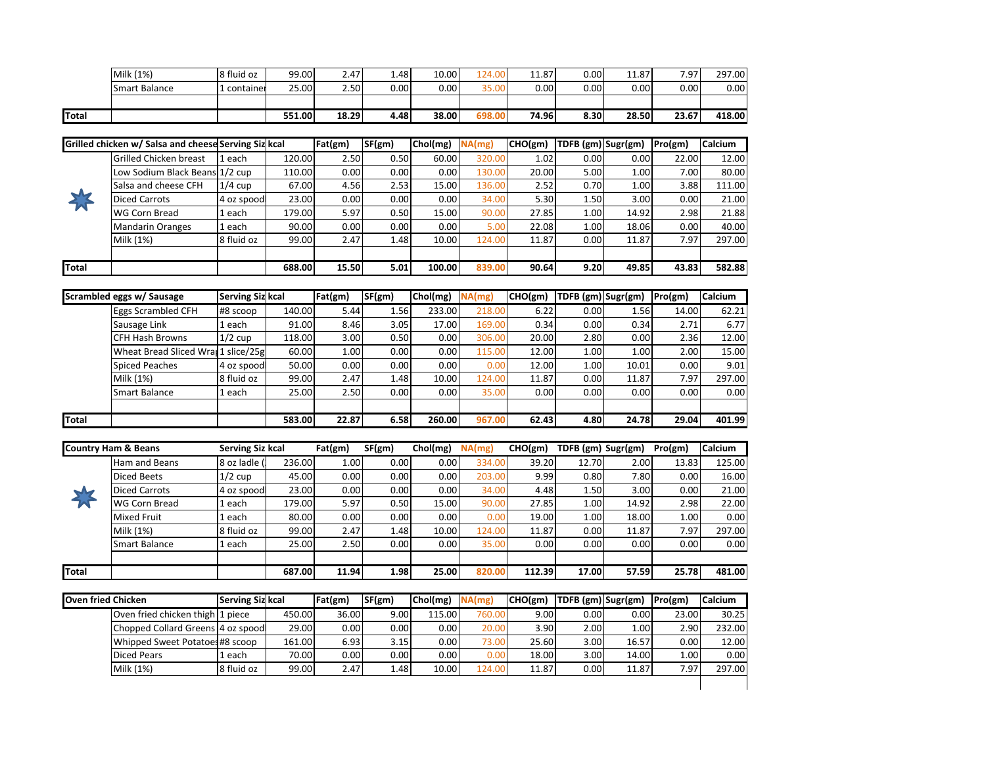|               | Milk (1%)            | 8 fluid oz | 99.00  | 2.47  | ا 48. | 10.00    | 124.00 | 1.87  | 0.00 | 11.87 | 7.97  | 297.00 |
|---------------|----------------------|------------|--------|-------|-------|----------|--------|-------|------|-------|-------|--------|
|               | <b>Smart Balance</b> | container  | 25.00  | 2.50  | 0.00  | $0.00\,$ | 35.00  | 0.00  | 0.00 | 0.00  | 0.00  | 0.00   |
|               |                      |            |        |       |       |          |        |       |      |       |       |        |
| <b>ITotal</b> |                      |            | 551.00 | 18.29 | 4.48  | 38.00    | 698.00 | 74.96 | 8.30 | 28.50 | 23.67 | 418.00 |

|       | Grilled chicken w/ Salsa and cheese Serving Siz kcal |            |        | Fat(gm) | SF(gm) | Chol(mg) | NA(mg) | CHO(gm)           | TDFB (gm) Sugr(gm) |       | Pro(gm) | Calcium |
|-------|------------------------------------------------------|------------|--------|---------|--------|----------|--------|-------------------|--------------------|-------|---------|---------|
|       | Grilled Chicken breast                               | 1 each     | 120.00 | 2.50    | 0.50   | 60.00    | 320.00 | 1.02 <sub>1</sub> | 0.00               | 0.00  | 22.00   | 12.00   |
|       | Low Sodium Black Beans 1/2 cup                       |            | 110.00 | 0.00    | 0.00   | 0.00     | 130.00 | 20.00             | 5.00               | 1.00  | 7.00    | 80.00   |
|       | Salsa and cheese CFH                                 | $1/4$ cup  | 67.00  | 4.56    | 2.53   | 15.00    | 136.00 | 2.52              | 0.70               | 1.00  | 3.88    | 111.00  |
| 爷     | <b>Diced Carrots</b>                                 | 4 oz spood | 23.00  | 0.00    | 0.00   | 0.00     | 34.00  | 5.30              | 1.50               | 3.00  | 0.00    | 21.00   |
|       | WG Corn Bread                                        | 1 each     | 179.00 | 5.97    | 0.50   | 15.00    | 90.00  | 27.85             | 1.00               | 14.92 | 2.98    | 21.88   |
|       | <b>Mandarin Oranges</b>                              | 1 each     | 90.00  | 0.00    | 0.00   | 0.00     | 5.00   | 22.08             | 1.00               | 18.06 | 0.00    | 40.00   |
|       | Milk (1%)                                            | 8 fluid oz | 99.00  | 2.47    | 1.48   | 10.00    | 124.00 | 11.87             | 0.00               | 11.87 | 7.97    | 297.00  |
|       |                                                      |            |        |         |        |          |        |                   |                    |       |         |         |
| Total |                                                      |            | 688.00 | 15.50   | 5.01   | 100.00   | 839.00 | 90.64             | 9.20               | 49.85 | 43.83   | 582.88  |

|              | Scrambled eggs w/ Sausage           | <b>Serving Siz kcal</b> |        | Fat(gm) | SF(gm) | Chol(mg) | NA(mg) | CHO(gm) | TDFB (gm) Sugr(gm) |       | Pro(gm) | <b>Calcium</b> |
|--------------|-------------------------------------|-------------------------|--------|---------|--------|----------|--------|---------|--------------------|-------|---------|----------------|
|              | Eggs Scrambled CFH                  | #8 scoop                | 140.00 | 5.44    | 1.56   | 233.00   | 218.00 | 6.22    | 0.00               | 1.56  | 14.00   | 62.21          |
|              | Sausage Link                        | 1 each                  | 91.00  | 8.46    | 3.05   | 17.00    | 169.00 | 0.34    | 0.00               | 0.34  | 2.71    | 6.77           |
|              | <b>CFH Hash Browns</b>              | $1/2$ cup               | 118.00 | 3.00    | 0.50   | 0.00     | 306.00 | 20.00   | 2.80               | 0.00  | 2.36    | 12.00          |
|              | Wheat Bread Sliced Wran 1 slice/25g |                         | 60.00  | 1.00    | 0.00   | 0.00     | 115.00 | 12.00   | 1.00               | 1.00  | 2.00    | 15.00          |
|              | <b>Spiced Peaches</b>               | 4 oz spoodl             | 50.00  | 0.00    | 0.00   | 0.00     | 0.00   | 12.00   | 1.00               | 10.01 | 0.00    | 9.01           |
|              | Milk (1%)                           | 8 fluid oz              | 99.00  | 2.47    | 1.48   | 10.00    | 124.00 | 11.87   | 0.00               | 11.87 | 7.97    | 297.00         |
|              | Smart Balance                       | 1 each                  | 25.00  | 2.50    | 0.00   | 0.00     | 35.00  | 0.00    | 0.00               | 0.00  | 0.00    | 0.00           |
|              |                                     |                         |        |         |        |          |        |         |                    |       |         |                |
| <b>Total</b> |                                     |                         | 583.00 | 22.87   | 6.58   | 260.00   | 967.00 | 62.43   | 4.80               | 24.78 | 29.04   | 401.99         |

|                          | <b>Country Ham &amp; Beans</b> | Serving Siz kcal |        | Fat(gm) | SF(gm) | Chol(mg) | NA(mg) | CHO(gm) | TDFB (gm) Sugr(gm) |       | Pro(gm) | <b>Calcium</b> |
|--------------------------|--------------------------------|------------------|--------|---------|--------|----------|--------|---------|--------------------|-------|---------|----------------|
|                          | Ham and Beans                  | 8 oz ladle (     | 236.00 | 1.00    | 0.00   | 0.00     | 334.00 | 39.20   | 12.70              | 2.00  | 13.83   | 125.00         |
|                          | <b>Diced Beets</b>             | $1/2$ cup        | 45.00  | 0.00    | 0.00   | 0.00     | 203.00 | 9.99    | 0.80               | 7.80  | 0.00    | 16.00          |
| $\overline{\phantom{a}}$ | <b>Diced Carrots</b>           | 4 oz spood       | 23.00  | 0.00    | 0.00   | 0.00     | 34.00  | 4.48    | 1.50               | 3.00  | 0.00    | 21.00          |
|                          | <b>WG Corn Bread</b>           | 1 each           | 179.00 | 5.97    | 0.50   | 15.00    | 90.00  | 27.85   | 1.00               | 14.92 | 2.98    | 22.00          |
|                          | <b>Mixed Fruit</b>             | 1 each           | 80.00  | 0.00    | 0.00   | 0.00     | 0.00   | 19.00   | 1.00               | 18.00 | 1.00    | 0.00           |
|                          | Milk (1%)                      | 8 fluid oz       | 99.00  | 2.47    | 1.48   | 10.00    | 124.00 | 11.87   | 0.00               | 11.87 | 7.97    | 297.00         |
|                          | Smart Balance                  | 1 each           | 25.00  | 2.50    | 0.00   | 0.00     | 35.00  | 0.00    | 0.00               | 0.00  | 0.00    | 0.00           |
|                          |                                |                  |        |         |        |          |        |         |                    |       |         |                |
| Total                    |                                |                  | 687.00 | 11.94   | 1.98   | 25.00    | 820.00 | 112.39  | 17.00              | 57.59 | 25.78   | 481.00         |

| <b>Oven fried Chicken</b>         | Serving Siz kcal |        | Fat(gm) | SF(gm) | Chol(mg) | NA(mg) | CHO(gm) | <b>TDFB</b> (gm) Sugr(gm) |                   | Pro(gm) | <b>Calcium</b> |
|-----------------------------------|------------------|--------|---------|--------|----------|--------|---------|---------------------------|-------------------|---------|----------------|
| Oven fried chicken thigh 1 piece  |                  | 450.00 | 36.00   | 9.00   | 115.00   | 760.00 | 9.00    | 0.00                      | 0.00              | 23.00   | 30.25          |
| Chopped Collard Greens 4 oz spood |                  | 29.00  | 0.00    | 0.00   | 0.00     | 20.00  | 3.90    | 2.00                      | 1.00 <sub>1</sub> | 2.90    | 232.00         |
| Whipped Sweet Potatoes #8 scoop   |                  | 161.00 | 6.93    | 3.15   | 0.00     | 73.00  | 25.60   | 3.00                      | 16.57             | 0.00    | 12.00          |
| <b>Diced Pears</b>                | ⊥ each           | 70.00  | 0.00    | 0.00   | 0.00     | 0.00   | 18.00   | 3.00                      | 14.00             | 1.00    | 0.00           |
| Milk (1%)                         | 8 fluid oz       | 99.00  | 2.47    | 1.48   | 10.00    | 124.00 | 11.87   | 0.00                      | 11.87             | 7.97    | 297.00         |
|                                   |                  |        |         |        |          |        |         |                           |                   |         |                |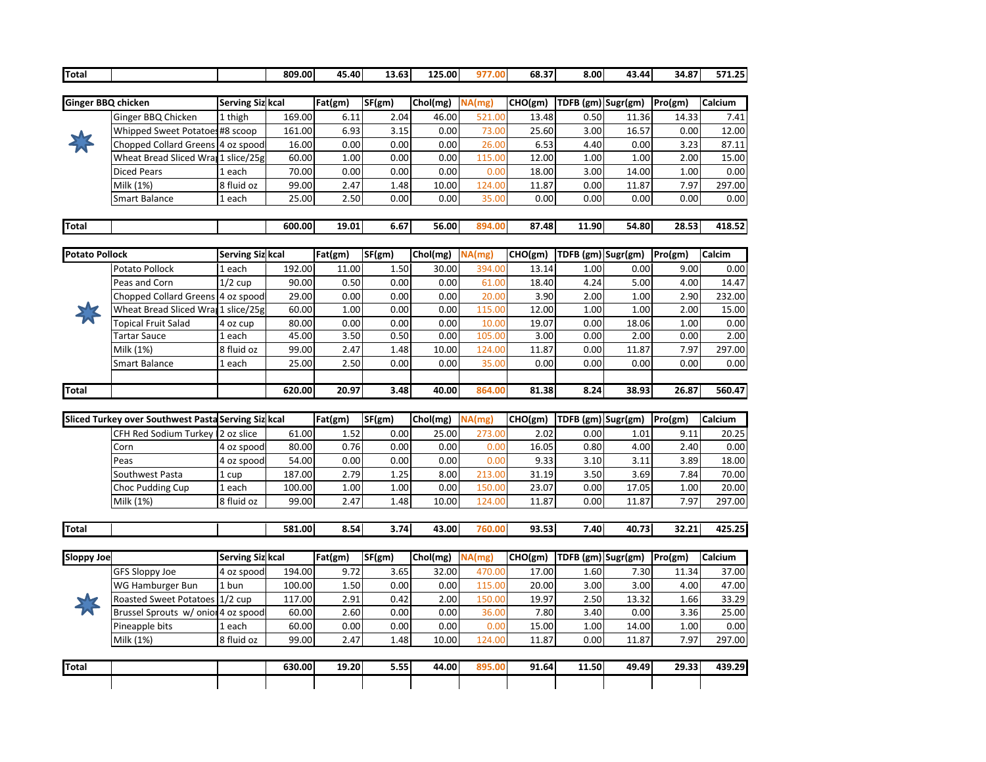| Total                 |                                                     |                         | 809.00 | 45.40   | 13.63  | 125.00   | 977.00 | 68.37   | 8.00               | 43.44                      | 34.87   | 571.25  |
|-----------------------|-----------------------------------------------------|-------------------------|--------|---------|--------|----------|--------|---------|--------------------|----------------------------|---------|---------|
|                       |                                                     |                         |        |         |        |          |        |         |                    |                            |         |         |
| Ginger BBQ chicken    |                                                     | Serving Siz kcal        |        | Fat(gm) | SF(gm) | Chol(mg) | NA(mg) | CHO(gm) |                    | TDFB (gm) Sugr(gm) Pro(gm) |         | Calcium |
|                       | Ginger BBQ Chicken                                  | 1 thigh                 | 169.00 | 6.11    | 2.04   | 46.00    | 521.00 | 13.48   | 0.50               | 11.36                      | 14.33   | 7.41    |
|                       | Whipped Sweet Potatoes#8 scoop                      |                         | 161.00 | 6.93    | 3.15   | 0.00     | 73.00  | 25.60   | 3.00               | 16.57                      | 0.00    | 12.00   |
|                       | Chopped Collard Greens 4 oz spood                   |                         | 16.00  | 0.00    | 0.00   | 0.00     | 26.00  | 6.53    | 4.40               | 0.00                       | 3.23    | 87.11   |
|                       | Wheat Bread Sliced Wran 1 slice/25g                 |                         | 60.00  | 1.00    | 0.00   | 0.00     | 115.00 | 12.00   | 1.00               | 1.00                       | 2.00    | 15.00   |
|                       | <b>Diced Pears</b>                                  | 1 each                  | 70.00  | 0.00    | 0.00   | 0.00     | 0.00   | 18.00   | 3.00               | 14.00                      | 1.00    | 0.00    |
|                       | Milk (1%)                                           | 8 fluid oz              | 99.00  | 2.47    | 1.48   | 10.00    | 124.00 | 11.87   | 0.00               | 11.87                      | 7.97    | 297.00  |
|                       | Smart Balance                                       | 1 each                  | 25.00  | 2.50    | 0.00   | 0.00     | 35.00  | 0.00    | 0.00               | 0.00                       | 0.00    | 0.00    |
| Total                 |                                                     |                         | 600.00 | 19.01   | 6.67   | 56.00    | 894.00 | 87.48   | 11.90              | 54.80                      | 28.53   | 418.52  |
|                       |                                                     |                         |        |         |        |          |        |         |                    |                            |         |         |
| <b>Potato Pollock</b> |                                                     | Serving Siz kcal        |        | Fat(gm) | SF(gm) | Chol(mg) | NA(mg) | CHO(gm) |                    | TDFB (gm) Sugr(gm) Pro(gm) |         | Calcim  |
|                       | Potato Pollock                                      | 1 each                  | 192.00 | 11.00   | 1.50   | 30.00    | 394.00 | 13.14   | 1.00               | 0.00                       | 9.00    | 0.00    |
|                       | Peas and Corn                                       | $1/2$ cup               | 90.00  | 0.50    | 0.00   | 0.00     | 61.00  | 18.40   | 4.24               | 5.00                       | 4.00    | 14.47   |
|                       | Chopped Collard Greens 4 oz spood                   |                         | 29.00  | 0.00    | 0.00   | 0.00     | 20.00  | 3.90    | 2.00               | 1.00                       | 2.90    | 232.00  |
|                       | Wheat Bread Sliced Wrat 1 slice/25g                 |                         | 60.00  | 1.00    | 0.00   | 0.00     | 115.00 | 12.00   | 1.00               | 1.00                       | 2.00    | 15.00   |
|                       | Topical Fruit Salad                                 | 4 oz cup                | 80.00  | 0.00    | 0.00   | 0.00     | 10.00  | 19.07   | 0.00               | 18.06                      | 1.00    | 0.00    |
|                       | Tartar Sauce                                        | 1 each                  | 45.00  | 3.50    | 0.50   | 0.00     | 105.00 | 3.00    | 0.00               | 2.00                       | 0.00    | 2.00    |
|                       | Milk (1%)                                           | 8 fluid oz              | 99.00  | 2.47    | 1.48   | 10.00    | 124.00 | 11.87   | 0.00               | 11.87                      | 7.97    | 297.00  |
|                       | Smart Balance                                       | 1 each                  | 25.00  | 2.50    | 0.00   | 0.00     | 35.00  | 0.00    | 0.00               | 0.00                       | 0.00    | 0.00    |
|                       |                                                     |                         |        |         |        |          |        |         |                    |                            |         |         |
| Total                 |                                                     |                         | 620.00 | 20.97   | 3.48   | 40.00    | 864.00 | 81.38   | 8.24               | 38.93                      | 26.87   | 560.47  |
|                       |                                                     |                         |        |         |        |          |        |         |                    |                            |         |         |
|                       | Sliced Turkey over Southwest Pasta Serving Siz kcal |                         |        | Fat(gm) | SF(gm) | Chol(mg) | NA(mg) | CHO(gm) | TDFB (gm) Sugr(gm) |                            | Pro(gm) | Calcium |
|                       | CFH Red Sodium Turkey   2 oz slice                  |                         | 61.00  | 1.52    | 0.00   | 25.00    | 273.00 | 2.02    | 0.00               | 1.01                       | 9.11    | 20.25   |
|                       | Corn                                                | 4 oz spood              | 80.00  | 0.76    | 0.00   | 0.00     | 0.00   | 16.05   | 0.80               | 4.00                       | 2.40    | 0.00    |
|                       | Peas                                                | 4 oz spood              | 54.00  | 0.00    | 0.00   | 0.00     | 0.00   | 9.33    | 3.10               | 3.11                       | 3.89    | 18.00   |
|                       | Southwest Pasta                                     | 1 cup                   | 187.00 | 2.79    | 1.25   | 8.00     | 213.00 | 31.19   | 3.50               | 3.69                       | 7.84    | 70.00   |
|                       | <b>Choc Pudding Cup</b>                             | 1 each                  | 100.00 | 1.00    | 1.00   | 0.00     | 150.00 | 23.07   | 0.00               | 17.05                      | 1.00    | 20.00   |
|                       | Milk (1%)                                           | 8 fluid oz              | 99.00  | 2.47    | 1.48   | 10.00    | 124.00 | 11.87   | 0.00               | 11.87                      | 7.97    | 297.00  |
| Total                 |                                                     |                         | 581.00 | 8.54    | 3.74   | 43.00    | 760.00 | 93.53   | 7.40               | 40.73                      | 32.21   | 425.25  |
|                       |                                                     |                         |        |         |        |          |        |         |                    |                            |         |         |
| Sloppy Joe            |                                                     | <b>Serving Siz kcal</b> |        | Fat(gm) | SF(gm) | Chol(mg) | NA(mg) | CHO(gm) |                    | TDFB (gm) Sugr(gm) Pro(gm) |         | Calcium |
|                       | GFS Sloppy Joe                                      | 4 oz spood              | 194.00 | 9.72    | 3.65   | 32.00    | 470.00 | 17.00   | 1.60               | 7.30                       | 11.34   | 37.00   |
|                       | WG Hamburger Bun                                    | 1 bun                   | 100.00 | 1.50    | 0.00   | 0.00     | 115.00 | 20.00   | 3.00               | 3.00                       | 4.00    | 47.00   |
|                       | <b>Roasted Sweet Potatoes</b>                       | $1/2$ cup               | 117.00 | 2.91    | 0.42   | 2.00     | 150.00 | 19.97   | 2.50               | 13.32                      | 1.66    | 33.29   |
|                       | Brussel Sprouts w/ onior 4 oz spood                 |                         | 60.00  | 2.60    | 0.00   | 0.00     | 36.00  | 7.80    | 3.40               | 0.00                       | 3.36    | 25.00   |
|                       | Pineapple bits                                      | 1 each                  | 60.00  | 0.00    | 0.00   | 0.00     | 0.00   | 15.00   | 1.00               | 14.00                      | 1.00    | 0.00    |
|                       | Milk (1%)                                           | 8 fluid oz              | 99.00  | 2.47    | 1.48   | 10.00    | 124.00 | 11.87   | 0.00               | 11.87                      | 7.97    | 297.00  |
|                       |                                                     |                         |        |         |        |          |        |         |                    |                            |         |         |
|                       |                                                     |                         |        |         |        |          |        |         |                    |                            |         |         |
| Total                 |                                                     |                         | 630.00 | 19.20   | 5.55   | 44.00    | 895.00 | 91.64   | 11.50              | 49.49                      | 29.33   | 439.29  |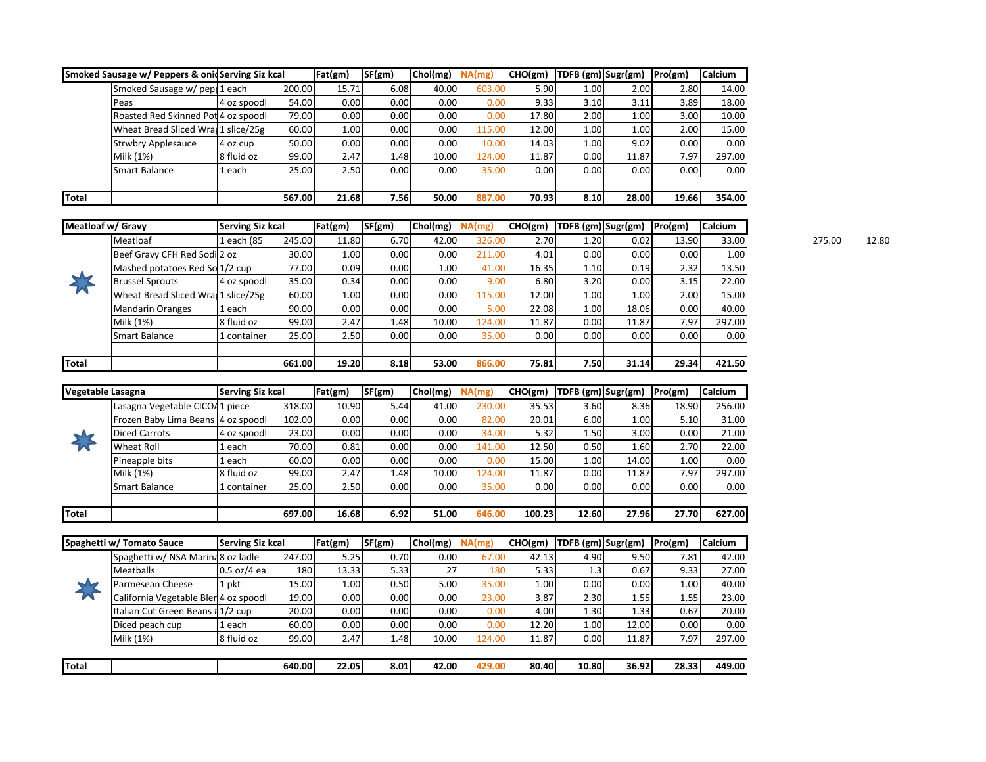|       | Smoked Sausage w/ Peppers & onic Serving Siz kcal |            |        | Fat(gm) | SF(gm) | Chol(mg) | NA(mg) | CHO(gm) | <b>TDFB</b> (gm) Sugr(gm) |          | Pro(gm) | <b>Calcium</b> |
|-------|---------------------------------------------------|------------|--------|---------|--------|----------|--------|---------|---------------------------|----------|---------|----------------|
|       | Smoked Sausage w/ pep: 1 each                     |            | 200.00 | 15.71   | 6.08   | 40.00    | 603.00 | 5.90    | 1.00                      | 2.00     | 2.80    | 14.00          |
|       | Peas                                              | 4 oz spood | 54.00  | 0.00    | 0.00   | 0.00     | 0.00   | 9.33    | 3.10                      | 3.11     | 3.89    | 18.00          |
|       | Roasted Red Skinned Pot 4 oz spood                |            | 79.00  | 0.00    | 0.00   | 0.00     | 0.00   | 17.80   | 2.00                      | $1.00\,$ | 3.00    | 10.00          |
|       | Wheat Bread Sliced Wran 1 slice/25g               |            | 60.00  | 1.00    | 0.00   | 0.00     | 115.00 | 12.00   | 1.00                      | 1.00     | 2.00    | 15.00          |
|       | <b>Strwbry Applesauce</b>                         | 4 oz cup   | 50.00  | 0.00    | 0.00   | 0.00     | 10.00  | 14.03   | 1.00                      | 9.02     | 0.00    | 0.00           |
|       | Milk (1%)                                         | 8 fluid oz | 99.00  | 2.47    | 1.48   | 10.00    | 124.00 | 11.87   | 0.00                      | 11.87    | 7.97    | 297.00         |
|       | Smart Balance                                     | 1 each     | 25.00  | 2.50    | 0.00   | 0.00     | 35.00  | 0.00    | 0.00                      | 0.00     | 0.00    | 0.00           |
|       |                                                   |            |        |         |        |          |        |         |                           |          |         |                |
| Total |                                                   |            | 567.00 | 21.68   | 7.56   | 50.00    | 887.00 | 70.93   | 8.10                      | 28.00    | 19.66   | 354.00         |

| Meatloaf w/ Gravy |                                     | <b>Serving Siz kcal</b> |        | Fat(gm) | SF(gm) | $Chol(mg)$ $NA(mg)$ |        | CHO(gm) |      | TDFB (gm) Sugr(gm) | Pro(gm) | <b>Calcium</b> |        |       |
|-------------------|-------------------------------------|-------------------------|--------|---------|--------|---------------------|--------|---------|------|--------------------|---------|----------------|--------|-------|
|                   | Meatloaf                            | each (85                | 245.00 | 11.80   | 6.70   | 42.00               | 326.00 | 2.70    | 1.20 | 0.02               | 13.90   | 33.00          | 275.00 | 12.80 |
|                   | Beef Gravy CFH Red Sodi 2 oz        |                         | 30.00  | 1.00    | 0.00   | 0.00                | 211.00 | 4.01    | 0.00 | 0.00               | 0.00    | 1.00           |        |       |
|                   | Mashed potatoes Red So 1/2 cup      |                         | 77.00  | 0.09    | 0.00   | 1.00                | 41.00  | 16.35   | 1.10 | 0.19               | 2.32    | 13.50          |        |       |
| $\sim$            | <b>Brussel Sprouts</b>              | 4 oz spoodl             | 35.00  | 0.34    | 0.00   | 0.00                | 9.00   | 6.80    | 3.20 | 0.00               | 3.15    | 22.00          |        |       |
| <b>P</b>          | Wheat Bread Sliced Wran 1 slice/25g |                         | 60.00  | 1.00    | 0.00   | 0.00                | 115.00 | 12.00   | 1.00 | 1.00               | 2.00    | 15.00          |        |       |
|                   | <b>Mandarin Oranges</b>             | l each                  | 90.00  | 0.00    | 0.00   | 0.00                | 5.00   | 22.08   | 1.00 | 18.06              | 0.00    | 40.00          |        |       |
|                   | Milk (1%)                           | 8 fluid oz              | 99.00  | 2.47    | 1.48   | 10.00               | 124.00 | 11.87   | 0.00 | 11.87              | 7.97    | 297.00         |        |       |
|                   | Smart Balance                       | container               | 25.00  | 2.50    | 0.00   | 0.00 <sub>1</sub>   | 35.00  | 0.00    | 0.00 | 0.00               | 0.00    | 0.00           |        |       |
|                   |                                     |                         |        |         |        |                     |        |         |      |                    |         |                |        |       |
| Total             |                                     |                         | 661.00 | 19.20   | 8.18   | 53.00               | 866.00 | 75.81   | 7.50 | 31.14              | 29.34   | 421.50         |        |       |

| Vegetable Lasagna |                                   | <b>Serving Siz kcal</b> |        | Fat(gm) | SF(gm) | Chol(mg) | NA(mg) | CHO(gm) | TDFB (gm) Sugr(gm) |       | Pro(gm) | <b>Calcium</b> |
|-------------------|-----------------------------------|-------------------------|--------|---------|--------|----------|--------|---------|--------------------|-------|---------|----------------|
|                   | Lasagna Vegetable CICO41 piece    |                         | 318.00 | 10.90   | 5.44   | 41.00    | 230.00 | 35.53   | 3.60               | 8.36  | 18.90   | 256.00         |
|                   | Frozen Baby Lima Beans 4 oz spood |                         | 102.00 | 0.00    | 0.00   | 0.00     | 82.00  | 20.01   | 6.00               | 1.00  | 5.10    | 31.00          |
|                   | Diced Carrots                     | 4 oz spoodl             | 23.00  | 0.00    | 0.00   | 0.00     | 34.00  | 5.32    | 1.50               | 3.00  | 0.00    | 21.00          |
|                   | Wheat Roll                        | 1 each                  | 70.00  | 0.81    | 0.00   | 0.00     | 141.00 | 12.50   | 0.50               | 1.60  | 2.70    | 22.00          |
|                   | Pineapple bits                    | 1 each                  | 60.00  | 0.00    | 0.00   | 0.00     | 0.00   | 15.00   | 1.00               | 14.00 | 1.00    | 0.00           |
|                   | Milk (1%)                         | 8 fluid oz              | 99.00  | 2.47    | 1.48   | 10.00    | 124.00 | 11.87   | $0.00\,$           | 11.87 | 7.97    | 297.00         |
|                   | Smart Balance                     | 1 container             | 25.00  | 2.50    | 0.00   | 0.00     | 35.00  | 0.00    | $0.00\,$           | 0.00  | 0.00    | 0.00           |
|                   |                                   |                         |        |         |        |          |        |         |                    |       |         |                |
| Total             |                                   |                         | 697.00 | 16.68   | 6.92   | 51.00    | 646.00 | 100.23  | 12.60              | 27.96 | 27.70   | 627.00         |

|                  | Spaghetti w/ Tomato Sauce            | <b>Serving Siz kcal</b> |        | Fat(gm) | SF(gm) | Chol(mg) | NA(mg) | CHO(gm) | TDFB (gm) Sugr(gm) |       | Pro(gm) | <b>Calcium</b> |
|------------------|--------------------------------------|-------------------------|--------|---------|--------|----------|--------|---------|--------------------|-------|---------|----------------|
|                  | Spaghetti w/ NSA Marina 8 oz ladle   |                         | 247.00 | 5.25    | 0.70   | 0.00     | 67.00  | 42.13   | 4.90               | 9.50  | 7.81    | 42.00          |
|                  | <b>Meatballs</b>                     | 0.5 oz/4 ea             | 180    | 13.33   | 5.33   | 27       | 180    | 5.33    | 1.3                | 0.67  | 9.33    | 27.00          |
| $\blacktriangle$ | Parmesean Cheese                     | 1 pkt                   | 15.00  | 1.00    | 0.50   | 5.00     | 35.00  | 1.00    | 0.00               | 0.00  | 1.00    | 40.00          |
| W                | California Vegetable Blen 4 oz spood |                         | 19.00  | 0.00    | 0.00   | 0.00     | 23.00  | 3.87    | 2.30               | 1.55  | 1.55    | 23.00          |
|                  | Italian Cut Green Beans #1/2 cup     |                         | 20.00  | 0.00    | 0.00   | 0.00     | 0.00   | 4.00    | 1.30               | 1.33  | 0.67    | 20.00          |
|                  | Diced peach cup                      | l each                  | 60.00  | 0.00    | 0.00   | 0.00     | 0.00   | 12.20   | 1.00               | 12.00 | 0.00    | 0.00           |
|                  | Milk (1%)                            | 8 fluid oz              | 99.00  | 2.47    | 1.48   | 10.00    | 124.00 | 11.87   | 0.00               | 11.87 | 7.97    | 297.00         |
|                  |                                      |                         |        |         |        |          |        |         |                    |       |         |                |
| Total            |                                      |                         | 640.00 | 22.05   | 8.01   | 42.00    | 429.00 | 80.40   | 10.80              | 36.92 | 28.33   | 449.00         |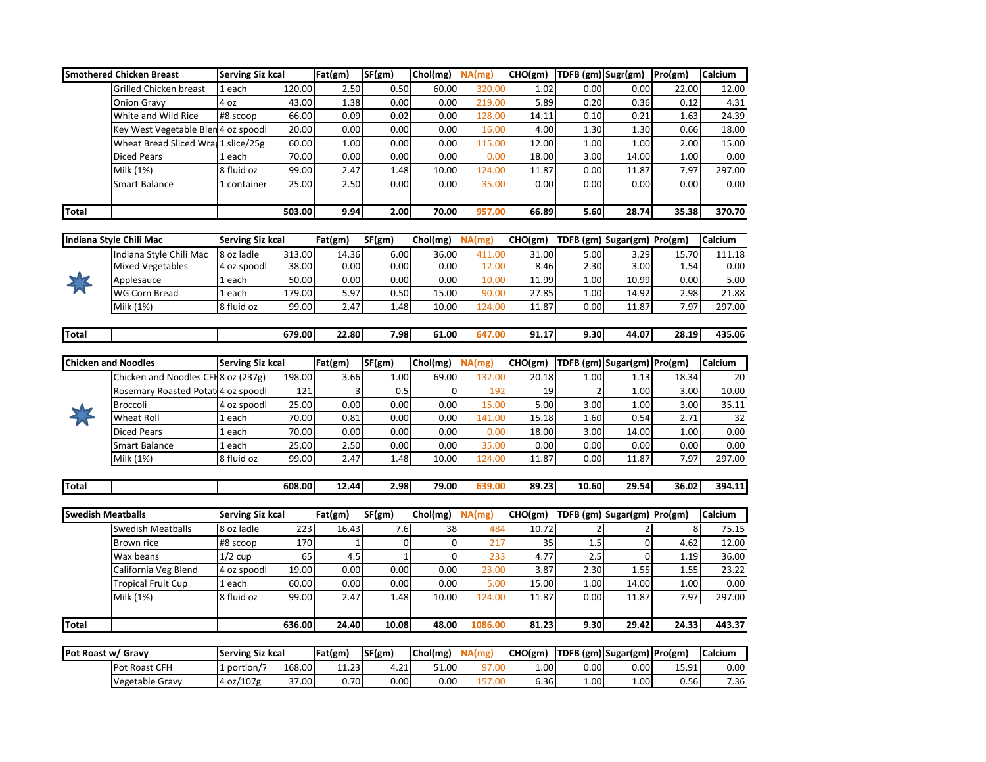|                            | <b>Smothered Chicken Breast</b>     | <b>Serving Siz kcal</b> |        | Fat(gm) | SF(gm)       | Chol(mg)              | NA(mg)  | CHO(gm) TDFB (gm) Sugr(gm) |                |                                     | Pro(gm) | Calcium |
|----------------------------|-------------------------------------|-------------------------|--------|---------|--------------|-----------------------|---------|----------------------------|----------------|-------------------------------------|---------|---------|
|                            | Grilled Chicken breast              | 1 each                  | 120.00 | 2.50    | 0.50         | 60.00                 | 320.00  | 1.02                       | 0.00           | 0.00                                | 22.00   | 12.00   |
|                            | <b>Onion Gravy</b>                  | 4 oz                    | 43.00  | 1.38    | 0.00         | 0.00                  | 219.00  | 5.89                       | 0.20           | 0.36                                | 0.12    | 4.31    |
|                            | White and Wild Rice                 | #8 scoop                | 66.00  | 0.09    | 0.02         | 0.00                  | 128.00  | 14.11                      | 0.10           | 0.21                                | 1.63    | 24.39   |
|                            | Key West Vegetable Blen 4 oz spood  |                         | 20.00  | 0.00    | 0.00         | 0.00                  | 16.00   | 4.00                       | 1.30           | 1.30                                | 0.66    | 18.00   |
|                            | Wheat Bread Sliced Wrat 1 slice/25g |                         | 60.00  | 1.00    | 0.00         | 0.00                  | 115.00  | 12.00                      | 1.00           | 1.00                                | 2.00    | 15.00   |
|                            | <b>Diced Pears</b>                  | 1 each                  | 70.00  | 0.00    | 0.00         | 0.00                  | 0.00    | 18.00                      | 3.00           | 14.00                               | 1.00    | 0.00    |
|                            | Milk (1%)                           | 8 fluid oz              | 99.00  | 2.47    | 1.48         | 10.00                 | 124.00  | 11.87                      | 0.00           | 11.87                               | 7.97    | 297.00  |
|                            | Smart Balance                       | 1 container             | 25.00  | 2.50    | 0.00         | 0.00                  | 35.00   | 0.00                       | 0.00           | 0.00                                | 0.00    | 0.00    |
|                            |                                     |                         |        |         |              |                       |         |                            |                |                                     |         |         |
| <b>Total</b>               |                                     |                         | 503.00 | 9.94    | 2.00         | 70.00                 | 957.00  | 66.89                      | 5.60           | 28.74                               | 35.38   | 370.70  |
|                            |                                     |                         |        |         |              |                       |         |                            |                |                                     |         |         |
|                            | Indiana Style Chili Mac             | Serving Siz kcal        |        | Fat(gm) | SF(gm)       | Chol(mg)              | NA(mg)  |                            |                | CHO(gm) TDFB (gm) Sugar(gm) Pro(gm) |         | Calcium |
|                            | Indiana Style Chili Mac             | 8 oz ladle              | 313.00 | 14.36   | 6.00         | 36.00                 | 411.00  | 31.00                      | 5.00           | 3.29                                | 15.70   | 111.18  |
|                            | <b>Mixed Vegetables</b>             | 4 oz spood              | 38.00  | 0.00    | 0.00         | 0.00                  | 12.00   | 8.46                       | 2.30           | 3.00                                | 1.54    | 0.00    |
|                            | Applesauce                          | 1 each                  | 50.00  | 0.00    | 0.00         | 0.00                  | 10.00   | 11.99                      | 1.00           | 10.99                               | 0.00    | 5.00    |
|                            | WG Corn Bread                       | 1 each                  | 179.00 | 5.97    | 0.50         | 15.00                 | 90.00   | 27.85                      | 1.00           | 14.92                               | 2.98    | 21.88   |
|                            | Milk (1%)                           | 8 fluid oz              | 99.00  | 2.47    | 1.48         | 10.00                 | 124.00  | 11.87                      | 0.00           | 11.87                               | 7.97    | 297.00  |
|                            |                                     |                         |        |         |              |                       |         |                            |                |                                     |         |         |
| <b>Total</b>               |                                     |                         | 679.00 | 22.80   | 7.98         | 61.00                 | 647.00  | 91.17                      | 9.30           | 44.07                               | 28.19   | 435.06  |
|                            |                                     |                         |        |         |              |                       |         |                            |                |                                     |         |         |
| <b>Chicken and Noodles</b> |                                     | Serving Siz kcal        |        | Fat(gm) | SF(gm)       | Chol(mg)              | NA(mg)  | CHO(gm)                    |                | TDFB (gm) Sugar(gm) Pro(gm)         |         | Calcium |
|                            | Chicken and Noodles CFH 8 oz (237g) |                         | 198.00 | 3.66    | 1.00         | 69.00                 | 132.00  | 20.18                      | 1.00           | 1.13                                | 18.34   | 20      |
|                            | Rosemary Roasted Potat 4 oz spood   |                         | 121    | 3       | 0.5          | $\mathbf 0$           | 192     | 19                         | $\overline{2}$ | 1.00                                | 3.00    | 10.00   |
|                            | Broccoli                            | 4 oz spood              | 25.00  | 0.00    | 0.00         | 0.00                  | 15.00   | 5.00                       | 3.00           | 1.00                                | 3.00    | 35.11   |
|                            | Wheat Roll                          | 1 each                  | 70.00  | 0.81    | 0.00         | 0.00                  | 141.00  | 15.18                      | 1.60           | 0.54                                | 2.71    | 32      |
|                            | Diced Pears                         | 1 each                  | 70.00  | 0.00    | 0.00         | 0.00                  | 0.00    | 18.00                      | 3.00           | 14.00                               | 1.00    | 0.00    |
|                            | Smart Balance                       | 1 each                  | 25.00  | 2.50    | 0.00         | 0.00                  | 35.00   | 0.00                       | 0.00           | 0.00                                | 0.00    | 0.00    |
|                            | Milk (1%)                           | 8 fluid oz              | 99.00  | 2.47    | 1.48         | 10.00                 | 124.00  | 11.87                      | 0.00           | 11.87                               | 7.97    | 297.00  |
|                            |                                     |                         |        |         |              |                       |         |                            |                |                                     |         |         |
| Total                      |                                     |                         | 608.00 | 12.44   | 2.98         | 79.00                 | 639.00  | 89.23                      | 10.60          | 29.54                               | 36.02   | 394.11  |
|                            |                                     |                         |        |         |              |                       |         |                            |                |                                     |         |         |
| <b>Swedish Meatballs</b>   |                                     | Serving Siz kcal        |        | Fat(gm) | SF(gm)       | $\overline{Chol(mg)}$ | NA(mg)  |                            |                | CHO(gm) TDFB (gm) Sugar(gm) Pro(gm) |         | Calcium |
|                            | <b>Swedish Meatballs</b>            | 8 oz ladle              | 223    | 16.43   | 7.6          | 38                    | 484     | 10.72                      | 2              | $\overline{2}$                      | 8       | 75.15   |
|                            | Brown rice                          | #8 scoop                | 170    | 1       | 0            | 0                     | 217     | 35                         | 1.5            | 0                                   | 4.62    | 12.00   |
|                            | Wax beans                           | $1/2$ cup               | 65     | 4.5     | $\mathbf{1}$ | $\Omega$              | 233     | 4.77                       | 2.5            | $\mathbf 0$                         | 1.19    | 36.00   |
|                            | California Veg Blend                | 4 oz spood              | 19.00  | 0.00    | 0.00         | 0.00                  | 23.00   | 3.87                       | 2.30           | 1.55                                | 1.55    | 23.22   |
|                            | Tropical Fruit Cup                  | 1 each                  | 60.00  | 0.00    | 0.00         | 0.00                  | 5.00    | 15.00                      | 1.00           | 14.00                               | 1.00    | 0.00    |
|                            | Milk (1%)                           | 8 fluid oz              | 99.00  | 2.47    | 1.48         | 10.00                 | 124.00  | 11.87                      | 0.00           | 11.87                               | 7.97    | 297.00  |
|                            |                                     |                         |        |         |              |                       |         |                            |                |                                     |         |         |
| <b>Total</b>               |                                     |                         | 636.00 | 24.40   | 10.08        | 48.00                 | 1086.00 | 81.23                      | 9.30           | 29.42                               | 24.33   | 443.37  |
|                            |                                     |                         |        |         |              |                       |         |                            |                |                                     |         |         |
| Pot Roast w/ Gravy         |                                     | Serving Siz kcal        |        | Fat(gm) | sF(gm)       | Chol(mg)              | NA(mg)  | CHO(gm)                    |                | TDFB (gm) Sugar(gm) Pro(gm)         |         | Calcium |
|                            | Pot Roast CFH                       | 1 portion/7             | 168.00 | 11.23   | 4.21         | 51.00                 | 97.00   | 1.00                       | 0.00           | 0.00                                | 15.91   | 0.00    |
|                            | Vegetable Gravy                     | 4 oz/107g               | 37.00  | 0.70    | 0.00         | 0.00                  | 157.00  | 6.36                       | 1.00           | 1.00                                | 0.56    | 7.36    |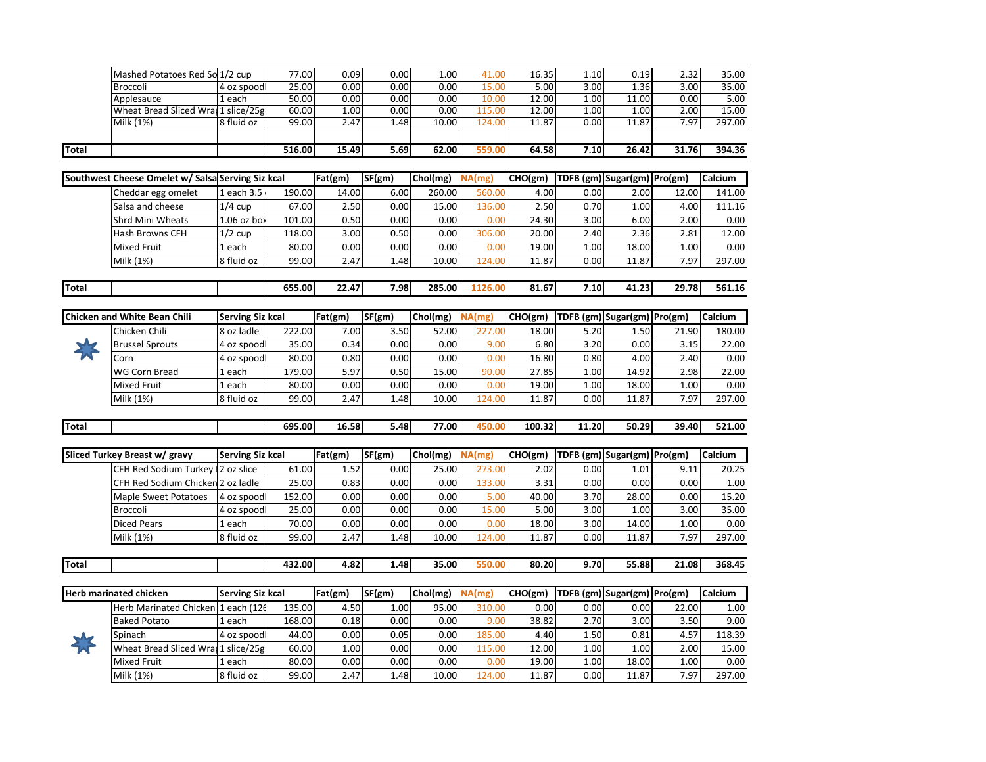| Total |                                     |             | 516.00 | 15.49             | 5.69 | 62.00 | 559.00 | 64.58 | 7.10 | 26.42             | 31.76 | 394.36 |
|-------|-------------------------------------|-------------|--------|-------------------|------|-------|--------|-------|------|-------------------|-------|--------|
|       |                                     |             |        |                   |      |       |        |       |      |                   |       |        |
|       | Milk (1%)                           | 8 fluid oz  | 99.00  | 2.47              | 1.48 | 10.00 | 124.00 | 11.87 | 0.00 | 11.87             | 7.97  | 297.00 |
|       | Wheat Bread Sliced Wrat 1 slice/25g |             | 60.00  | 1.00              | 0.00 | 0.00  | 115.00 | 12.00 | 1.00 | 1.00 <sub>1</sub> | 2.00  | 15.00  |
|       | Applesauce                          | l each      | 50.00  | 0.00              | 0.00 | 0.00  | 10.00  | 12.00 | 1.00 | 11.00             | 0.00  | 5.00   |
|       | Broccoli                            | 4 oz spoodl | 25.00  | 0.00              | 0.00 | 0.00  | 15.00  | 5.00  | 3.00 | 1.36              | 3.00  | 35.00  |
|       | Mashed Potatoes Red So 1/2 cup      |             | 77.00  | 0.09 <sub>l</sub> | 0.00 | 1.00  | 41.00  | 16.35 | 1.10 | 0.19              | 2.32  | 35.00  |

|       | Southwest Cheese Omelet w/ Salsa Serving Siz kcal |               |        | Fat(gm) | SF(gm) | Chol(mg) | NA(mg)  | CHO(gm) |      | TDFB (gm) Sugar(gm) Pro(gm) |       | <b>Calcium</b> |
|-------|---------------------------------------------------|---------------|--------|---------|--------|----------|---------|---------|------|-----------------------------|-------|----------------|
|       | Cheddar egg omelet                                | 1 each 3.5    | 190.00 | 14.00   | 6.00   | 260.00   | 560.00  | 4.00    | 0.00 | 2.00                        | 12.00 | 141.00         |
|       | Salsa and cheese                                  | $1/4$ cup     | 67.00  | 2.50    | 0.00   | 15.00    | 136.00  | 2.50    | 0.70 | 1.00                        | 4.00  | 111.16         |
|       | lShrd Mini Wheats                                 | $1.06$ oz box | 101.00 | 0.50    | 0.00   | 0.00     | 0.00    | 24.30   | 3.00 | 6.00                        | 2.00  | 0.00           |
|       | Hash Browns CFH                                   | $1/2$ cup     | 118.00 | 3.00    | 0.50   | 0.00     | 306.00  | 20.00   | 2.40 | 2.36                        | 2.81  | 12.00          |
|       | <b>Mixed Fruit</b>                                | 1 each        | 80.00  | 0.00    | 0.00   | 0.00     | 0.00    | 19.00   | 1.00 | 18.00                       | 1.00  | 0.00           |
|       | Milk (1%)                                         | 8 fluid oz    | 99.00  | 2.47    | 1.48   | 10.00    | 124.00  | 11.87   | 0.00 | 11.87                       | 7.97  | 297.00         |
|       |                                                   |               |        |         |        |          |         |         |      |                             |       |                |
| Total |                                                   |               | 655.00 | 22.47   | 7.98   | 285.00   | 1126.00 | 81.67   | 7.10 | 41.23                       | 29.78 | 561.16         |

|   | <b>Chicken and White Bean Chili</b> | Serving Siz kcal |        | Fat(gm) | SF(gm)            | Chol(mg) | NA(mg) | CHO(gm) |          | TDFB (gm) Sugar(gm)   Pro(gm) |       | <b>Calcium</b> |
|---|-------------------------------------|------------------|--------|---------|-------------------|----------|--------|---------|----------|-------------------------------|-------|----------------|
|   | Chicken Chili                       | 8 oz ladle       | 222.00 | 7.00    | 3.50              | 52.00    | 227.00 | 18.00   | 5.20     | 1.50                          | 21.90 | 180.00         |
| J | <b>Brussel Sprouts</b>              | 4 oz spood       | 35.00  | 0.34    | 0.00              | 0.00     | 9.00   | 6.80    | 3.20     | 0.00                          | 3.15  | 22.00          |
| A | Corn                                | 4 oz spoodl      | 80.00  | 0.80    | 0.00              | 0.00     | 0.00   | 16.80   | 0.80     | 4.00                          | 2.40  | 0.00           |
|   | <b>WG Corn Bread</b>                | 1 each           | 179.00 | 5.97    | 0.50              | 15.00    | 90.00  | 27.85   | $1.00\,$ | 14.92                         | 2.98  | 22.00          |
|   | <b>Mixed Fruit</b>                  | r each           | 80.00  | 0.00    | 0.00              | 0.00     | 0.00   | 19.00   | 1.00     | 18.00                         | 1.00  | 0.00           |
|   | Milk (1%)                           | 8 fluid oz       | 99.00  | 2.47    | 1.48 <sup>1</sup> | 10.00    | 124.00 | 11.87   | 0.00     | 11.87                         | 7.97  | 297.00         |

| Total<br>$  -$ | 695.00 | 16.58 | - 48.د | --<br>.100 | 100.32 | 11.20 | 50.29 | 39.40 | 521.00 |
|----------------|--------|-------|--------|------------|--------|-------|-------|-------|--------|
|                |        |       |        |            |        |       |       |       |        |

| Sliced Turkey Breast w/ gravy            | <b>Serving Siz kcal</b> |        | Fat(gm) | SF(gm) | Chol(mg) NA(mg) |        | CHO(gm) |      | TDFB (gm) Sugar(gm) Pro(gm) |      | <b>Calcium</b> |
|------------------------------------------|-------------------------|--------|---------|--------|-----------------|--------|---------|------|-----------------------------|------|----------------|
| CFH Red Sodium Turkey 2 oz slice         |                         | 61.00  | 1.52    | 0.00   | 25.00           | 273.00 | 2.02    | 0.00 | 1.01                        | 9.11 | 20.25          |
| <b>CFH Red Sodium Chicken 2 oz ladle</b> |                         | 25.00  | 0.83    | 0.00   | 0.00            | 133.00 | 3.31    | 0.00 | 0.00                        | 0.00 | $1.00\,$       |
| <b>Maple Sweet Potatoes</b>              | 14 oz spoodl            | 152.00 | 0.00    | 0.00   | 0.00            | 5.00   | 40.00   | 3.70 | 28.00                       | 0.00 | 15.20          |
| Broccoli                                 | 4 oz spoodl             | 25.00  | 0.00    | 0.00   | 0.00            | 15.00  | 5.00    | 3.00 | 1.00                        | 3.00 | 35.00          |
| <b>Diced Pears</b>                       | 1 each                  | 70.00  | 0.00    | 0.00   | 0.00            | 0.00   | 18.00   | 3.00 | 14.00                       | 1.00 | 0.00           |
| Milk (1%)                                | 8 fluid oz              | 99.00  | 2.47    | 1.48   | 10.00           | 124.00 | 11.87   | 0.00 | 11.87                       | 7.97 | 297.00         |
|                                          |                         |        |         |        |                 |        |         |      |                             |      |                |

|  | <b>Total</b> |  | 44 | 432.00 | 4.82 | 0.48 | 35.00 |  | 80.20 | 9.70 | 55.88 | $\angle 1.08$ | 368.45 |
|--|--------------|--|----|--------|------|------|-------|--|-------|------|-------|---------------|--------|
|--|--------------|--|----|--------|------|------|-------|--|-------|------|-------|---------------|--------|

|        | <b>Herb marinated chicken</b>       | Serving Siz kcal |        | Fat(gm) | SF(gm) | Chol(mg) | NA(mg) | CHO(gm) |      | TDFB (gm) Sugar(gm) Pro(gm) |       | <b>Calcium</b> |
|--------|-------------------------------------|------------------|--------|---------|--------|----------|--------|---------|------|-----------------------------|-------|----------------|
| $\sim$ | Herb Marinated Chicken 1 each (126  |                  | 135.00 | 4.50    | 1.00   | 95.00    | 310.00 | 0.00    | 0.00 | 0.00                        | 22.00 | 1.00           |
|        | <b>Baked Potato</b>                 | l each           | 168.00 | 0.18    | 0.00   | 0.00     | 9.00   | 38.82   | 2.70 | 3.00                        | 3.50  | 9.00           |
|        | Spinach                             | 4 oz spoodl      | 44.00  | 0.00    | 0.05   | 0.00     | 185.00 | 4.40    | 1.50 | 0.81                        | 4.57  | 118.39         |
|        | Wheat Bread Sliced Wran 1 slice/25g |                  | 60.00  | 1.00    | 0.00   | 0.00     | 115.00 | 12.00   | 1.00 | 1.00 <sup>1</sup>           | 2.00  | 15.00          |
|        | <b>Mixed Fruit</b>                  | l each           | 80.00  | 0.00    | 0.00   | 0.00     | 0.00   | 19.00   | 1.00 | 18.00                       | 1.00  | 0.00           |
|        | Milk (1%)                           | 8 fluid oz       | 99.00  | 2.47    | 1.48   | 10.00    | 124.00 | 11.87   | 0.00 | 11.87                       | 7.97  | 297.00         |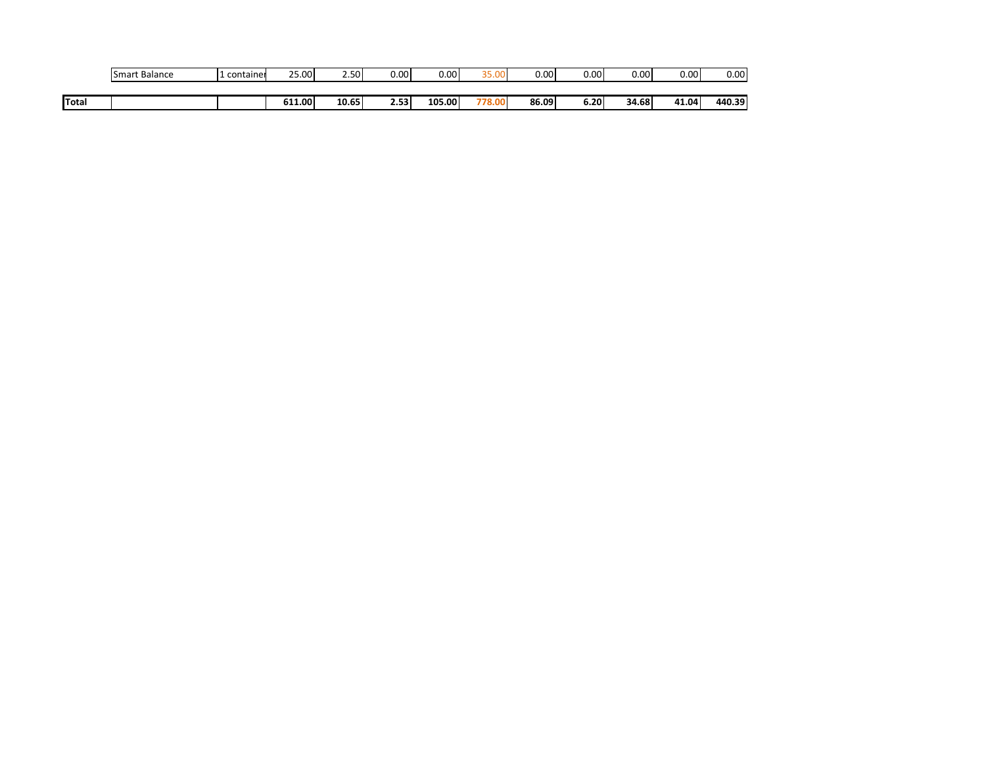|              | Smart Balance | container | 25.00  | 2.50  | 0.00 | 0.00   | חת הר<br>35.UL | 0.00  | 0.00 | 0.00  | 0.00  | $0.00\,$ |
|--------------|---------------|-----------|--------|-------|------|--------|----------------|-------|------|-------|-------|----------|
|              |               |           |        |       |      |        |                |       |      |       |       |          |
| <b>Total</b> |               |           | 611.00 | 10.65 | 2.53 | 105.00 | 778.00         | 86.09 | 6.20 | 34.68 | 41.04 | 440.39   |